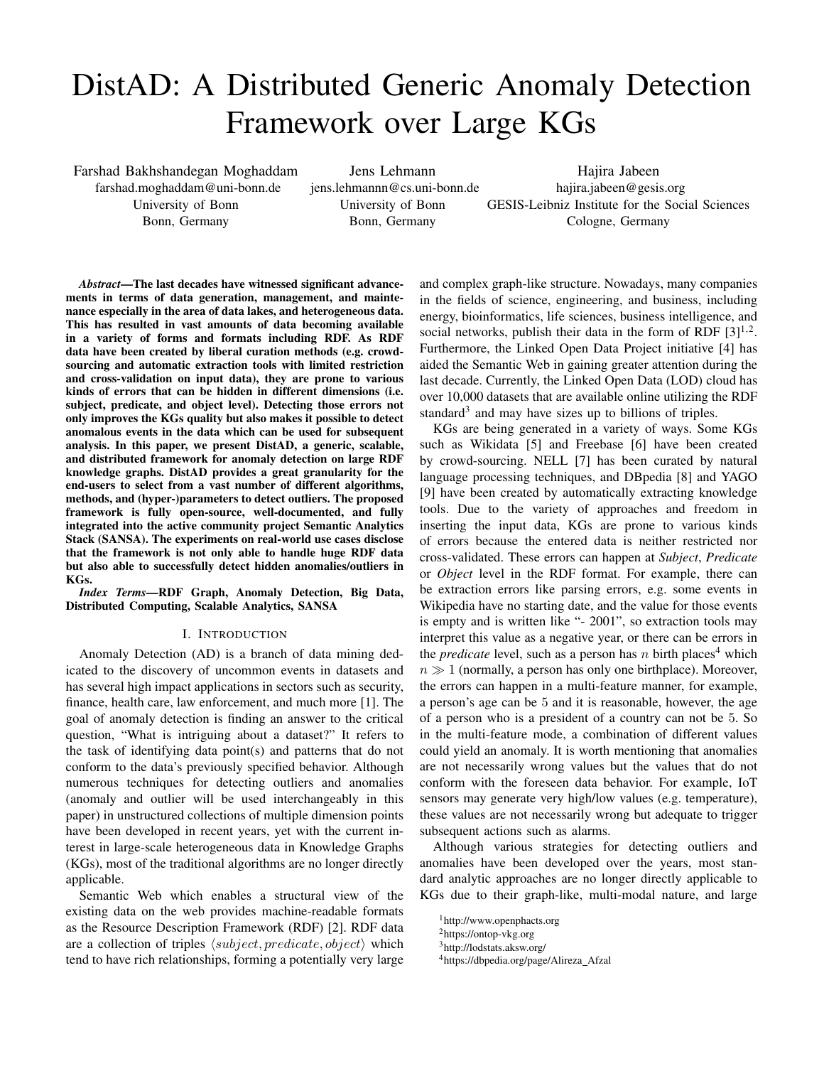# DistAD: A Distributed Generic Anomaly Detection Framework over Large KGs

Farshad Bakhshandegan Moghaddam farshad.moghaddam@uni-bonn.de University of Bonn Bonn, Germany

Jens Lehmann jens.lehmannn@cs.uni-bonn.de University of Bonn Bonn, Germany

Hajira Jabeen hajira.jabeen@gesis.org GESIS-Leibniz Institute for the Social Sciences Cologne, Germany

*Abstract*—The last decades have witnessed significant advancements in terms of data generation, management, and maintenance especially in the area of data lakes, and heterogeneous data. This has resulted in vast amounts of data becoming available in a variety of forms and formats including RDF. As RDF data have been created by liberal curation methods (e.g. crowdsourcing and automatic extraction tools with limited restriction and cross-validation on input data), they are prone to various kinds of errors that can be hidden in different dimensions (i.e. subject, predicate, and object level). Detecting those errors not only improves the KGs quality but also makes it possible to detect anomalous events in the data which can be used for subsequent analysis. In this paper, we present DistAD, a generic, scalable, and distributed framework for anomaly detection on large RDF knowledge graphs. DistAD provides a great granularity for the end-users to select from a vast number of different algorithms, methods, and (hyper-)parameters to detect outliers. The proposed framework is fully open-source, well-documented, and fully integrated into the active community project Semantic Analytics Stack (SANSA). The experiments on real-world use cases disclose that the framework is not only able to handle huge RDF data but also able to successfully detect hidden anomalies/outliers in KGs.

*Index Terms*—RDF Graph, Anomaly Detection, Big Data, Distributed Computing, Scalable Analytics, SANSA

#### I. INTRODUCTION

Anomaly Detection (AD) is a branch of data mining dedicated to the discovery of uncommon events in datasets and has several high impact applications in sectors such as security, finance, health care, law enforcement, and much more [1]. The goal of anomaly detection is finding an answer to the critical question, "What is intriguing about a dataset?" It refers to the task of identifying data point(s) and patterns that do not conform to the data's previously specified behavior. Although numerous techniques for detecting outliers and anomalies (anomaly and outlier will be used interchangeably in this paper) in unstructured collections of multiple dimension points have been developed in recent years, yet with the current interest in large-scale heterogeneous data in Knowledge Graphs (KGs), most of the traditional algorithms are no longer directly applicable.

Semantic Web which enables a structural view of the existing data on the web provides machine-readable formats as the Resource Description Framework (RDF) [2]. RDF data are a collection of triples  $\langle subject, predicate, object \rangle$  which tend to have rich relationships, forming a potentially very large and complex graph-like structure. Nowadays, many companies in the fields of science, engineering, and business, including energy, bioinformatics, life sciences, business intelligence, and social networks, publish their data in the form of RDF  $[3]^{1,2}$ . Furthermore, the Linked Open Data Project initiative [4] has aided the Semantic Web in gaining greater attention during the last decade. Currently, the Linked Open Data (LOD) cloud has over 10,000 datasets that are available online utilizing the RDF standard<sup>3</sup> and may have sizes up to billions of triples.

KGs are being generated in a variety of ways. Some KGs such as Wikidata [5] and Freebase [6] have been created by crowd-sourcing. NELL [7] has been curated by natural language processing techniques, and DBpedia [8] and YAGO [9] have been created by automatically extracting knowledge tools. Due to the variety of approaches and freedom in inserting the input data, KGs are prone to various kinds of errors because the entered data is neither restricted nor cross-validated. These errors can happen at *Subject*, *Predicate* or *Object* level in the RDF format. For example, there can be extraction errors like parsing errors, e.g. some events in Wikipedia have no starting date, and the value for those events is empty and is written like "- 2001", so extraction tools may interpret this value as a negative year, or there can be errors in the *predicate* level, such as a person has n birth places<sup>4</sup> which  $n \gg 1$  (normally, a person has only one birthplace). Moreover, the errors can happen in a multi-feature manner, for example, a person's age can be 5 and it is reasonable, however, the age of a person who is a president of a country can not be 5. So in the multi-feature mode, a combination of different values could yield an anomaly. It is worth mentioning that anomalies are not necessarily wrong values but the values that do not conform with the foreseen data behavior. For example, IoT sensors may generate very high/low values (e.g. temperature), these values are not necessarily wrong but adequate to trigger subsequent actions such as alarms.

Although various strategies for detecting outliers and anomalies have been developed over the years, most standard analytic approaches are no longer directly applicable to KGs due to their graph-like, multi-modal nature, and large

<sup>1</sup>http://www.openphacts.org

<sup>2</sup>https://ontop-vkg.org

<sup>3</sup>http://lodstats.aksw.org/

<sup>4</sup>https://dbpedia.org/page/Alireza Afzal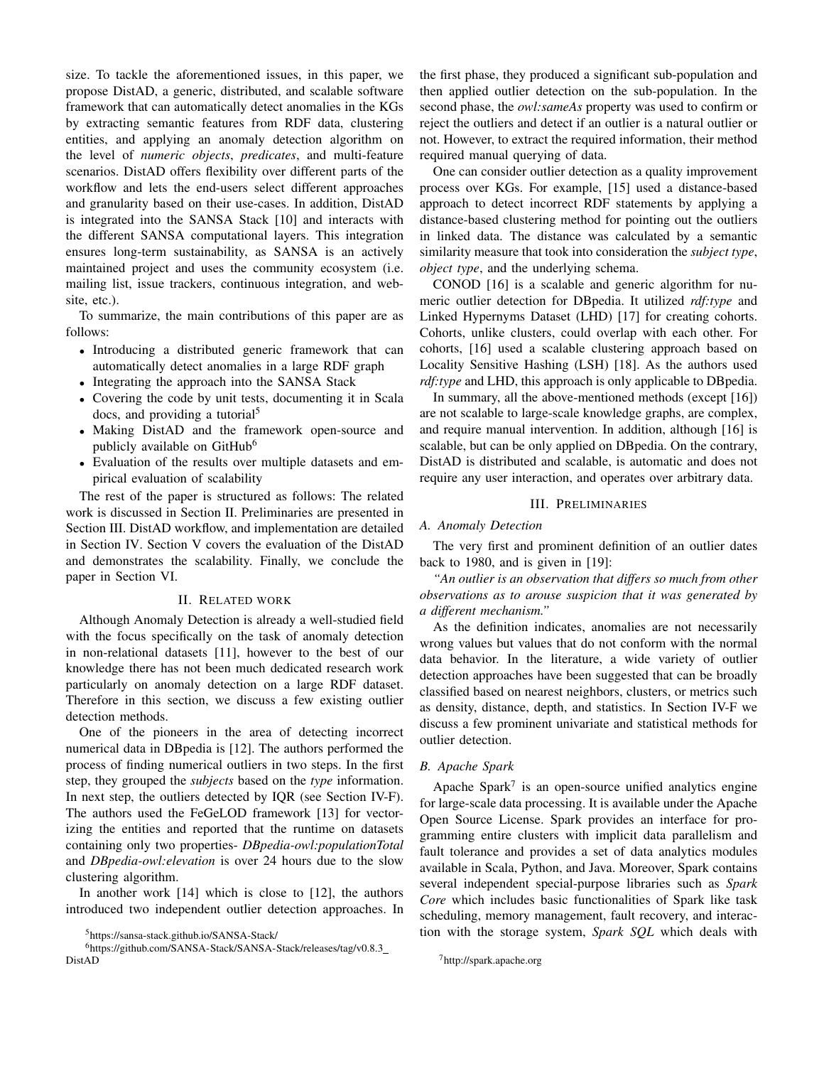size. To tackle the aforementioned issues, in this paper, we propose DistAD, a generic, distributed, and scalable software framework that can automatically detect anomalies in the KGs by extracting semantic features from RDF data, clustering entities, and applying an anomaly detection algorithm on the level of *numeric objects*, *predicates*, and multi-feature scenarios. DistAD offers flexibility over different parts of the workflow and lets the end-users select different approaches and granularity based on their use-cases. In addition, DistAD is integrated into the SANSA Stack [10] and interacts with the different SANSA computational layers. This integration ensures long-term sustainability, as SANSA is an actively maintained project and uses the community ecosystem (i.e. mailing list, issue trackers, continuous integration, and website, etc.).

To summarize, the main contributions of this paper are as follows:

- Introducing a distributed generic framework that can automatically detect anomalies in a large RDF graph
- Integrating the approach into the SANSA Stack
- Covering the code by unit tests, documenting it in Scala docs, and providing a tutorial<sup>5</sup>
- Making DistAD and the framework open-source and publicly available on GitHub<sup>6</sup>
- Evaluation of the results over multiple datasets and empirical evaluation of scalability

The rest of the paper is structured as follows: The related work is discussed in Section II. Preliminaries are presented in Section III. DistAD workflow, and implementation are detailed in Section IV. Section V covers the evaluation of the DistAD and demonstrates the scalability. Finally, we conclude the paper in Section VI.

# II. RELATED WORK

Although Anomaly Detection is already a well-studied field with the focus specifically on the task of anomaly detection in non-relational datasets [11], however to the best of our knowledge there has not been much dedicated research work particularly on anomaly detection on a large RDF dataset. Therefore in this section, we discuss a few existing outlier detection methods.

One of the pioneers in the area of detecting incorrect numerical data in DBpedia is [12]. The authors performed the process of finding numerical outliers in two steps. In the first step, they grouped the *subjects* based on the *type* information. In next step, the outliers detected by IQR (see Section IV-F). The authors used the FeGeLOD framework [13] for vectorizing the entities and reported that the runtime on datasets containing only two properties- *DBpedia-owl:populationTotal* and *DBpedia-owl:elevation* is over 24 hours due to the slow clustering algorithm.

In another work [14] which is close to [12], the authors introduced two independent outlier detection approaches. In

<sup>6</sup>https://github.com/SANSA-Stack/SANSA-Stack/releases/tag/v0.8.3 DistAD

the first phase, they produced a significant sub-population and then applied outlier detection on the sub-population. In the second phase, the *owl:sameAs* property was used to confirm or reject the outliers and detect if an outlier is a natural outlier or not. However, to extract the required information, their method required manual querying of data.

One can consider outlier detection as a quality improvement process over KGs. For example, [15] used a distance-based approach to detect incorrect RDF statements by applying a distance-based clustering method for pointing out the outliers in linked data. The distance was calculated by a semantic similarity measure that took into consideration the *subject type*, *object type*, and the underlying schema.

CONOD [16] is a scalable and generic algorithm for numeric outlier detection for DBpedia. It utilized *rdf:type* and Linked Hypernyms Dataset (LHD) [17] for creating cohorts. Cohorts, unlike clusters, could overlap with each other. For cohorts, [16] used a scalable clustering approach based on Locality Sensitive Hashing (LSH) [18]. As the authors used *rdf:type* and LHD, this approach is only applicable to DBpedia.

In summary, all the above-mentioned methods (except [16]) are not scalable to large-scale knowledge graphs, are complex, and require manual intervention. In addition, although [16] is scalable, but can be only applied on DBpedia. On the contrary, DistAD is distributed and scalable, is automatic and does not require any user interaction, and operates over arbitrary data.

## III. PRELIMINARIES

# *A. Anomaly Detection*

The very first and prominent definition of an outlier dates back to 1980, and is given in [19]:

*"An outlier is an observation that differs so much from other observations as to arouse suspicion that it was generated by a different mechanism."*

As the definition indicates, anomalies are not necessarily wrong values but values that do not conform with the normal data behavior. In the literature, a wide variety of outlier detection approaches have been suggested that can be broadly classified based on nearest neighbors, clusters, or metrics such as density, distance, depth, and statistics. In Section IV-F we discuss a few prominent univariate and statistical methods for outlier detection.

## *B. Apache Spark*

Apache Spark<sup>7</sup> is an open-source unified analytics engine for large-scale data processing. It is available under the Apache Open Source License. Spark provides an interface for programming entire clusters with implicit data parallelism and fault tolerance and provides a set of data analytics modules available in Scala, Python, and Java. Moreover, Spark contains several independent special-purpose libraries such as *Spark Core* which includes basic functionalities of Spark like task scheduling, memory management, fault recovery, and interaction with the storage system, *Spark SQL* which deals with

<sup>5</sup>https://sansa-stack.github.io/SANSA-Stack/

<sup>7</sup>http://spark.apache.org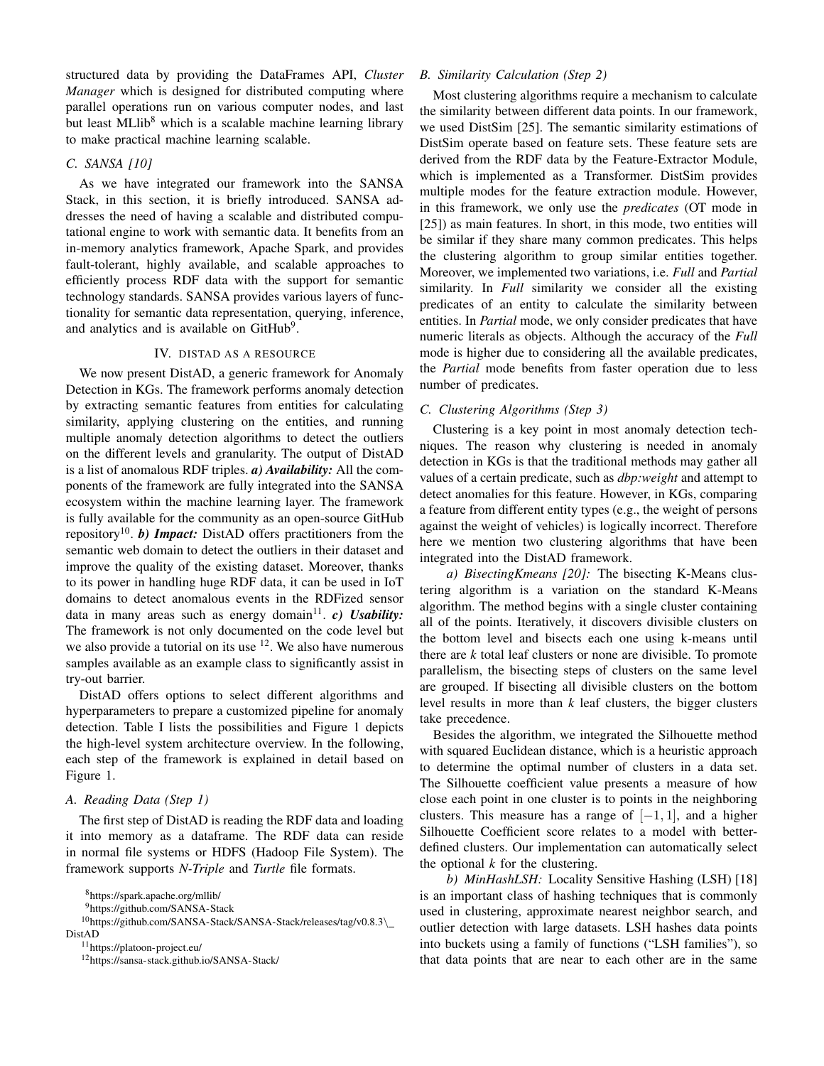structured data by providing the DataFrames API, *Cluster Manager* which is designed for distributed computing where parallel operations run on various computer nodes, and last but least MLlib<sup>8</sup> which is a scalable machine learning library to make practical machine learning scalable.

# *C. SANSA [10]*

As we have integrated our framework into the SANSA Stack, in this section, it is briefly introduced. SANSA addresses the need of having a scalable and distributed computational engine to work with semantic data. It benefits from an in-memory analytics framework, Apache Spark, and provides fault-tolerant, highly available, and scalable approaches to efficiently process RDF data with the support for semantic technology standards. SANSA provides various layers of functionality for semantic data representation, querying, inference, and analytics and is available on  $G$ it $Hub<sup>9</sup>$ .

### IV. DISTAD AS A RESOURCE

We now present DistAD, a generic framework for Anomaly Detection in KGs. The framework performs anomaly detection by extracting semantic features from entities for calculating similarity, applying clustering on the entities, and running multiple anomaly detection algorithms to detect the outliers on the different levels and granularity. The output of DistAD is a list of anomalous RDF triples. *a) Availability:* All the components of the framework are fully integrated into the SANSA ecosystem within the machine learning layer. The framework is fully available for the community as an open-source GitHub repository<sup>10</sup>. *b*) *Impact*: DistAD offers practitioners from the semantic web domain to detect the outliers in their dataset and improve the quality of the existing dataset. Moreover, thanks to its power in handling huge RDF data, it can be used in IoT domains to detect anomalous events in the RDFized sensor data in many areas such as energy domain<sup>11</sup>. *c*) Usability: The framework is not only documented on the code level but we also provide a tutorial on its use  $12$ . We also have numerous samples available as an example class to significantly assist in try-out barrier.

DistAD offers options to select different algorithms and hyperparameters to prepare a customized pipeline for anomaly detection. Table I lists the possibilities and Figure 1 depicts the high-level system architecture overview. In the following, each step of the framework is explained in detail based on Figure 1.

# *A. Reading Data (Step 1)*

The first step of DistAD is reading the RDF data and loading it into memory as a dataframe. The RDF data can reside in normal file systems or HDFS (Hadoop File System). The framework supports *N-Triple* and *Turtle* file formats.

<sup>8</sup>https://spark.apache.org/mllib/

<sup>9</sup>https://github.com/SANSA-Stack

<sup>10</sup>https://github.com/SANSA-Stack/SANSA-Stack/releases/tag/v0.8.3\ DistAD

<sup>11</sup>https://platoon-project.eu/

<sup>12</sup>https://sansa-stack.github.io/SANSA-Stack/

# *B. Similarity Calculation (Step 2)*

Most clustering algorithms require a mechanism to calculate the similarity between different data points. In our framework, we used DistSim [25]. The semantic similarity estimations of DistSim operate based on feature sets. These feature sets are derived from the RDF data by the Feature-Extractor Module, which is implemented as a Transformer. DistSim provides multiple modes for the feature extraction module. However, in this framework, we only use the *predicates* (OT mode in [25]) as main features. In short, in this mode, two entities will be similar if they share many common predicates. This helps the clustering algorithm to group similar entities together. Moreover, we implemented two variations, i.e. *Full* and *Partial* similarity. In *Full* similarity we consider all the existing predicates of an entity to calculate the similarity between entities. In *Partial* mode, we only consider predicates that have numeric literals as objects. Although the accuracy of the *Full* mode is higher due to considering all the available predicates, the *Partial* mode benefits from faster operation due to less number of predicates.

# *C. Clustering Algorithms (Step 3)*

Clustering is a key point in most anomaly detection techniques. The reason why clustering is needed in anomaly detection in KGs is that the traditional methods may gather all values of a certain predicate, such as *dbp:weight* and attempt to detect anomalies for this feature. However, in KGs, comparing a feature from different entity types (e.g., the weight of persons against the weight of vehicles) is logically incorrect. Therefore here we mention two clustering algorithms that have been integrated into the DistAD framework.

*a) BisectingKmeans [20]:* The bisecting K-Means clustering algorithm is a variation on the standard K-Means algorithm. The method begins with a single cluster containing all of the points. Iteratively, it discovers divisible clusters on the bottom level and bisects each one using k-means until there are *k* total leaf clusters or none are divisible. To promote parallelism, the bisecting steps of clusters on the same level are grouped. If bisecting all divisible clusters on the bottom level results in more than *k* leaf clusters, the bigger clusters take precedence.

Besides the algorithm, we integrated the Silhouette method with squared Euclidean distance, which is a heuristic approach to determine the optimal number of clusters in a data set. The Silhouette coefficient value presents a measure of how close each point in one cluster is to points in the neighboring clusters. This measure has a range of  $[-1, 1]$ , and a higher Silhouette Coefficient score relates to a model with betterdefined clusters. Our implementation can automatically select the optional  $k$  for the clustering.

*b) MinHashLSH:* Locality Sensitive Hashing (LSH) [18] is an important class of hashing techniques that is commonly used in clustering, approximate nearest neighbor search, and outlier detection with large datasets. LSH hashes data points into buckets using a family of functions ("LSH families"), so that data points that are near to each other are in the same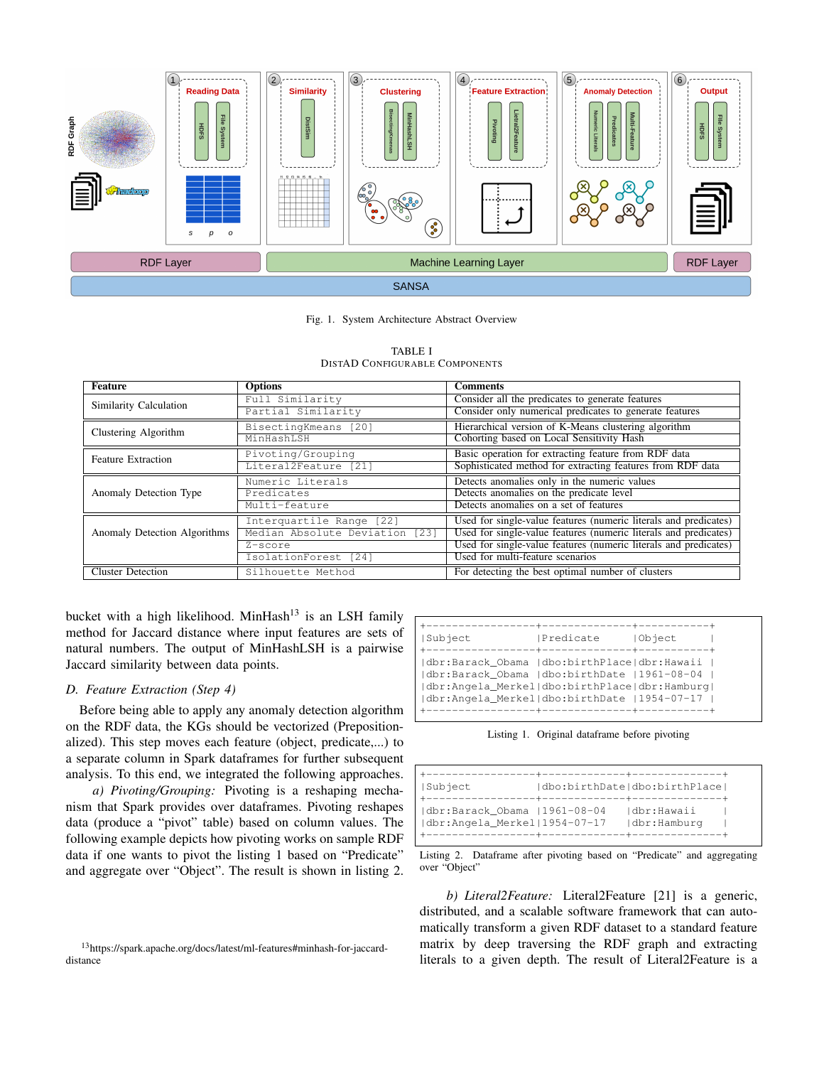

Fig. 1. System Architecture Abstract Overview

| <b>Feature</b>               | <b>Options</b>                 | <b>Comments</b>                                                  |
|------------------------------|--------------------------------|------------------------------------------------------------------|
| Similarity Calculation       | Full Similarity                | Consider all the predicates to generate features                 |
|                              | Partial Similarity             | Consider only numerical predicates to generate features          |
| Clustering Algorithm         | BisectingKmeans [20]           | Hierarchical version of K-Means clustering algorithm             |
|                              | MinHashLSH                     | Cohorting based on Local Sensitivity Hash                        |
| <b>Feature Extraction</b>    | Pivoting/Grouping              | Basic operation for extracting feature from RDF data             |
|                              | Literal2Feature [21]           | Sophisticated method for extracting features from RDF data       |
|                              | Numeric Literals               | Detects anomalies only in the numeric values                     |
| Anomaly Detection Type       | Predicates                     | Detects anomalies on the predicate level                         |
|                              | Multi-feature                  | Detects anomalies on a set of features                           |
|                              | Interquartile Range [22]       | Used for single-value features (numeric literals and predicates) |
| Anomaly Detection Algorithms | Median Absolute Deviation [23] | Used for single-value features (numeric literals and predicates) |
|                              | Z-score                        | Used for single-value features (numeric literals and predicates) |
|                              | IsolationForest [24]           | Used for multi-feature scenarios                                 |
| <b>Cluster Detection</b>     | Silhouette Method              | For detecting the best optimal number of clusters                |

| TABLE I                        |
|--------------------------------|
| DISTAD CONFIGURABLE COMPONENTS |

bucket with a high likelihood. MinHash<sup>13</sup> is an LSH family method for Jaccard distance where input features are sets of natural numbers. The output of MinHashLSH is a pairwise Jaccard similarity between data points.

# *D. Feature Extraction (Step 4)*

Before being able to apply any anomaly detection algorithm on the RDF data, the KGs should be vectorized (Prepositionalized). This step moves each feature (object, predicate,...) to a separate column in Spark dataframes for further subsequent analysis. To this end, we integrated the following approaches.

*a) Pivoting/Grouping:* Pivoting is a reshaping mechanism that Spark provides over dataframes. Pivoting reshapes data (produce a "pivot" table) based on column values. The following example depicts how pivoting works on sample RDF data if one wants to pivot the listing 1 based on "Predicate" and aggregate over "Object". The result is shown in listing 2.

| Subject                                                                                                                                                                                       | <b>IPredicate</b> | Object |
|-----------------------------------------------------------------------------------------------------------------------------------------------------------------------------------------------|-------------------|--------|
| dbr:Barack_Obama  dbo:birthPlace dbr:Hawaii<br> dbr:Barack Obama  dbo:birthDate  1961-08-04<br> dbr:Angela_Merkel dbo:birthPlace dbr:Hamburg <br> dbr:Angela Merkel dbo:birthDate  1954-07-17 | ----------        |        |

Listing 1. Original dataframe before pivoting

| Subject                      | dbo:birthDate dbo:birthPlace |  |
|------------------------------|------------------------------|--|
|                              |                              |  |
| dbr:Barack Obama  1961-08-04 | Idbr:Hawaii                  |  |
| dbr:Angela Merkel 1954-07-17 | dbr:Hamburg                  |  |
|                              |                              |  |

Listing 2. Dataframe after pivoting based on "Predicate" and aggregating over "Object"

*b) Literal2Feature:* Literal2Feature [21] is a generic, distributed, and a scalable software framework that can automatically transform a given RDF dataset to a standard feature matrix by deep traversing the RDF graph and extracting literals to a given depth. The result of Literal2Feature is a

<sup>13</sup>https://spark.apache.org/docs/latest/ml-features#minhash-for-jaccarddistance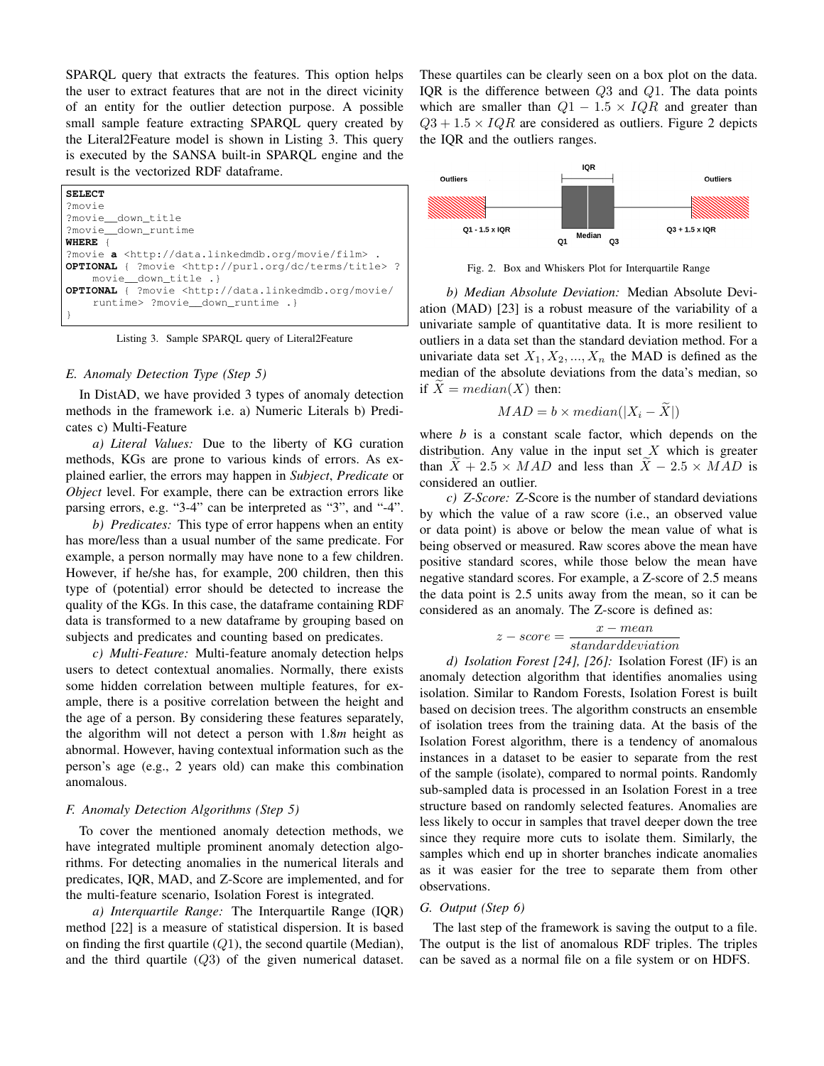SPARQL query that extracts the features. This option helps the user to extract features that are not in the direct vicinity of an entity for the outlier detection purpose. A possible small sample feature extracting SPARQL query created by the Literal2Feature model is shown in Listing 3. This query is executed by the SANSA built-in SPARQL engine and the result is the vectorized RDF dataframe.

**SELECT** ?movie ?movie\_\_down\_title ?movie\_\_down\_runtime **WHERE** { ?movie **a** <http://data.linkedmdb.org/movie/film> **OPTIONAL** { ?movie <http://purl.org/dc/terms/title> ? movie\_\_down\_title .} **OPTIONAL** { ?movie <http://data.linkedmdb.org/movie/ runtime> ?movie\_\_down\_runtime .} }

Listing 3. Sample SPARQL query of Literal2Feature

# *E. Anomaly Detection Type (Step 5)*

In DistAD, we have provided 3 types of anomaly detection methods in the framework i.e. a) Numeric Literals b) Predicates c) Multi-Feature

*a) Literal Values:* Due to the liberty of KG curation methods, KGs are prone to various kinds of errors. As explained earlier, the errors may happen in *Subject*, *Predicate* or *Object* level. For example, there can be extraction errors like parsing errors, e.g. "3-4" can be interpreted as "3", and "-4".

*b) Predicates:* This type of error happens when an entity has more/less than a usual number of the same predicate. For example, a person normally may have none to a few children. However, if he/she has, for example, 200 children, then this type of (potential) error should be detected to increase the quality of the KGs. In this case, the dataframe containing RDF data is transformed to a new dataframe by grouping based on subjects and predicates and counting based on predicates.

*c) Multi-Feature:* Multi-feature anomaly detection helps users to detect contextual anomalies. Normally, there exists some hidden correlation between multiple features, for example, there is a positive correlation between the height and the age of a person. By considering these features separately, the algorithm will not detect a person with 1.8*m* height as abnormal. However, having contextual information such as the person's age (e.g., 2 years old) can make this combination anomalous.

#### *F. Anomaly Detection Algorithms (Step 5)*

To cover the mentioned anomaly detection methods, we have integrated multiple prominent anomaly detection algorithms. For detecting anomalies in the numerical literals and predicates, IQR, MAD, and Z-Score are implemented, and for the multi-feature scenario, Isolation Forest is integrated.

*a) Interquartile Range:* The Interquartile Range (IQR) method [22] is a measure of statistical dispersion. It is based on finding the first quartile  $(Q1)$ , the second quartile (Median), and the third quartile  $(Q3)$  of the given numerical dataset. These quartiles can be clearly seen on a box plot on the data. IQR is the difference between Q3 and Q1. The data points which are smaller than  $Q1 - 1.5 \times IQR$  and greater than  $Q3 + 1.5 \times IQR$  are considered as outliers. Figure 2 depicts the IQR and the outliers ranges.



Fig. 2. Box and Whiskers Plot for Interquartile Range

*b) Median Absolute Deviation:* Median Absolute Deviation (MAD) [23] is a robust measure of the variability of a univariate sample of quantitative data. It is more resilient to outliers in a data set than the standard deviation method. For a univariate data set  $X_1, X_2, ..., X_n$  the MAD is defined as the median of the absolute deviations from the data's median, so if  $X = median(X)$  then:

$$
MAD = b \times median(|X_i - \tilde{X}|)
$$

where *b* is a constant scale factor, which depends on the distribution. Any value in the input set  $X$  which is greater than  $X + 2.5 \times MAD$  and less than  $X - 2.5 \times MAD$  is considered an outlier.

*c) Z-Score:* Z-Score is the number of standard deviations by which the value of a raw score (i.e., an observed value or data point) is above or below the mean value of what is being observed or measured. Raw scores above the mean have positive standard scores, while those below the mean have negative standard scores. For example, a Z-score of 2.5 means the data point is 2.5 units away from the mean, so it can be considered as an anomaly. The Z-score is defined as:

$$
z-score = \frac{x-mean}{standard deviation}
$$

*d) Isolation Forest [24], [26]:* Isolation Forest (IF) is an anomaly detection algorithm that identifies anomalies using isolation. Similar to Random Forests, Isolation Forest is built based on decision trees. The algorithm constructs an ensemble of isolation trees from the training data. At the basis of the Isolation Forest algorithm, there is a tendency of anomalous instances in a dataset to be easier to separate from the rest of the sample (isolate), compared to normal points. Randomly sub-sampled data is processed in an Isolation Forest in a tree structure based on randomly selected features. Anomalies are less likely to occur in samples that travel deeper down the tree since they require more cuts to isolate them. Similarly, the samples which end up in shorter branches indicate anomalies as it was easier for the tree to separate them from other observations.

#### *G. Output (Step 6)*

The last step of the framework is saving the output to a file. The output is the list of anomalous RDF triples. The triples can be saved as a normal file on a file system or on HDFS.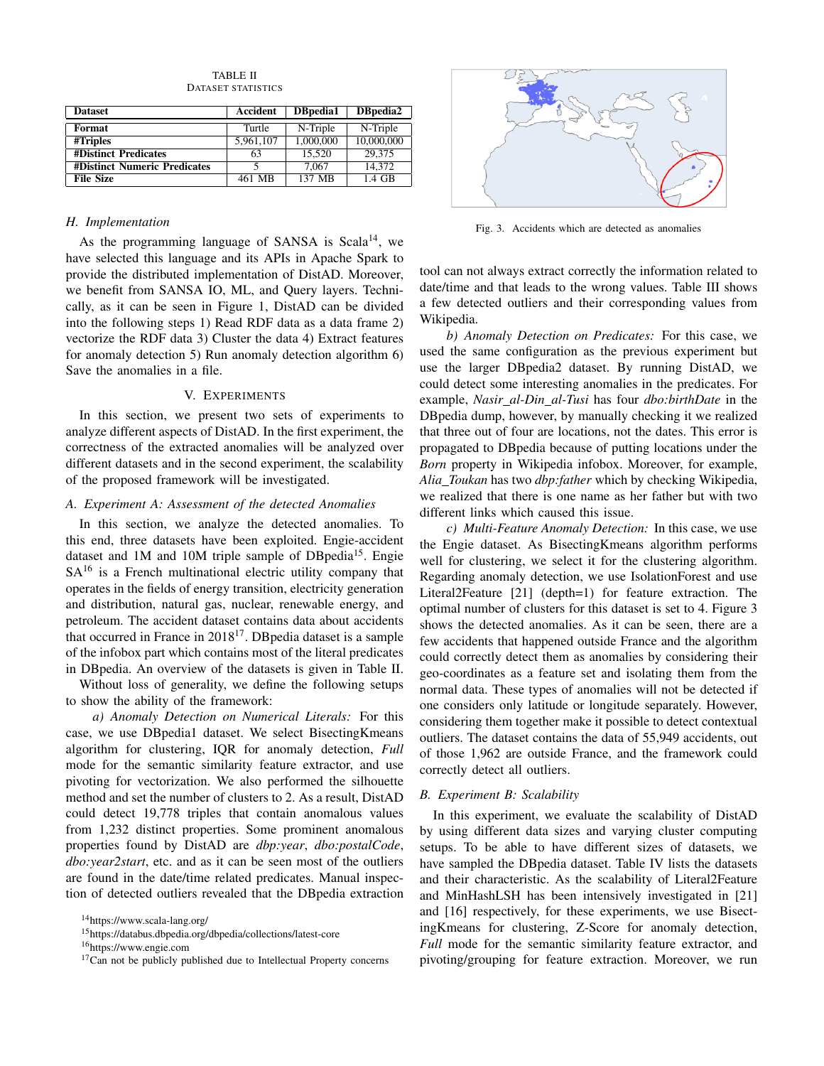| <b>Dataset</b>                      | Accident  | DBpedia1  | DBpedia2   |
|-------------------------------------|-----------|-----------|------------|
| Format                              | Turtle    | N-Triple  | N-Triple   |
| #Triples                            | 5,961,107 | 1.000.000 | 10,000,000 |
| <b>#Distinct Predicates</b>         | 63        | 15.520    | 29.375     |
| <b>#Distinct Numeric Predicates</b> |           | 7.067     | 14.372     |
| <b>File Size</b>                    | 461 MB    | 137 MB    | 1.4 GB     |

TABLE II DATASET STATISTICS

# *H. Implementation*

As the programming language of SANSA is Scala<sup>14</sup>, we have selected this language and its APIs in Apache Spark to provide the distributed implementation of DistAD. Moreover, we benefit from SANSA IO, ML, and Query layers. Technically, as it can be seen in Figure 1, DistAD can be divided into the following steps 1) Read RDF data as a data frame 2) vectorize the RDF data 3) Cluster the data 4) Extract features for anomaly detection 5) Run anomaly detection algorithm 6) Save the anomalies in a file.

### V. EXPERIMENTS

In this section, we present two sets of experiments to analyze different aspects of DistAD. In the first experiment, the correctness of the extracted anomalies will be analyzed over different datasets and in the second experiment, the scalability of the proposed framework will be investigated.

# *A. Experiment A: Assessment of the detected Anomalies*

In this section, we analyze the detected anomalies. To this end, three datasets have been exploited. Engie-accident dataset and 1M and 10M triple sample of DBpedia<sup>15</sup>. Engie  $SA^{16}$  is a French multinational electric utility company that operates in the fields of energy transition, electricity generation and distribution, natural gas, nuclear, renewable energy, and petroleum. The accident dataset contains data about accidents that occurred in France in 2018<sup>17</sup>. DBpedia dataset is a sample of the infobox part which contains most of the literal predicates in DBpedia. An overview of the datasets is given in Table II.

Without loss of generality, we define the following setups to show the ability of the framework:

*a) Anomaly Detection on Numerical Literals:* For this case, we use DBpedia1 dataset. We select BisectingKmeans algorithm for clustering, IQR for anomaly detection, *Full* mode for the semantic similarity feature extractor, and use pivoting for vectorization. We also performed the silhouette method and set the number of clusters to 2. As a result, DistAD could detect 19,778 triples that contain anomalous values from 1,232 distinct properties. Some prominent anomalous properties found by DistAD are *dbp:year*, *dbo:postalCode*, *dbo:year2start*, etc. and as it can be seen most of the outliers are found in the date/time related predicates. Manual inspection of detected outliers revealed that the DBpedia extraction



Fig. 3. Accidents which are detected as anomalies

tool can not always extract correctly the information related to date/time and that leads to the wrong values. Table III shows a few detected outliers and their corresponding values from Wikipedia.

*b) Anomaly Detection on Predicates:* For this case, we used the same configuration as the previous experiment but use the larger DBpedia2 dataset. By running DistAD, we could detect some interesting anomalies in the predicates. For example, *Nasir al-Din al-Tusi* has four *dbo:birthDate* in the DBpedia dump, however, by manually checking it we realized that three out of four are locations, not the dates. This error is propagated to DBpedia because of putting locations under the *Born* property in Wikipedia infobox. Moreover, for example, *Alia Toukan* has two *dbp:father* which by checking Wikipedia, we realized that there is one name as her father but with two different links which caused this issue.

*c) Multi-Feature Anomaly Detection:* In this case, we use the Engie dataset. As BisectingKmeans algorithm performs well for clustering, we select it for the clustering algorithm. Regarding anomaly detection, we use IsolationForest and use Literal2Feature [21] (depth=1) for feature extraction. The optimal number of clusters for this dataset is set to 4. Figure 3 shows the detected anomalies. As it can be seen, there are a few accidents that happened outside France and the algorithm could correctly detect them as anomalies by considering their geo-coordinates as a feature set and isolating them from the normal data. These types of anomalies will not be detected if one considers only latitude or longitude separately. However, considering them together make it possible to detect contextual outliers. The dataset contains the data of 55,949 accidents, out of those 1,962 are outside France, and the framework could correctly detect all outliers.

#### *B. Experiment B: Scalability*

In this experiment, we evaluate the scalability of DistAD by using different data sizes and varying cluster computing setups. To be able to have different sizes of datasets, we have sampled the DBpedia dataset. Table IV lists the datasets and their characteristic. As the scalability of Literal2Feature and MinHashLSH has been intensively investigated in [21] and [16] respectively, for these experiments, we use BisectingKmeans for clustering, Z-Score for anomaly detection, *Full* mode for the semantic similarity feature extractor, and pivoting/grouping for feature extraction. Moreover, we run

<sup>14</sup>https://www.scala-lang.org/

<sup>15</sup>https://databus.dbpedia.org/dbpedia/collections/latest-core

<sup>16</sup>https://www.engie.com

 $17$ Can not be publicly published due to Intellectual Property concerns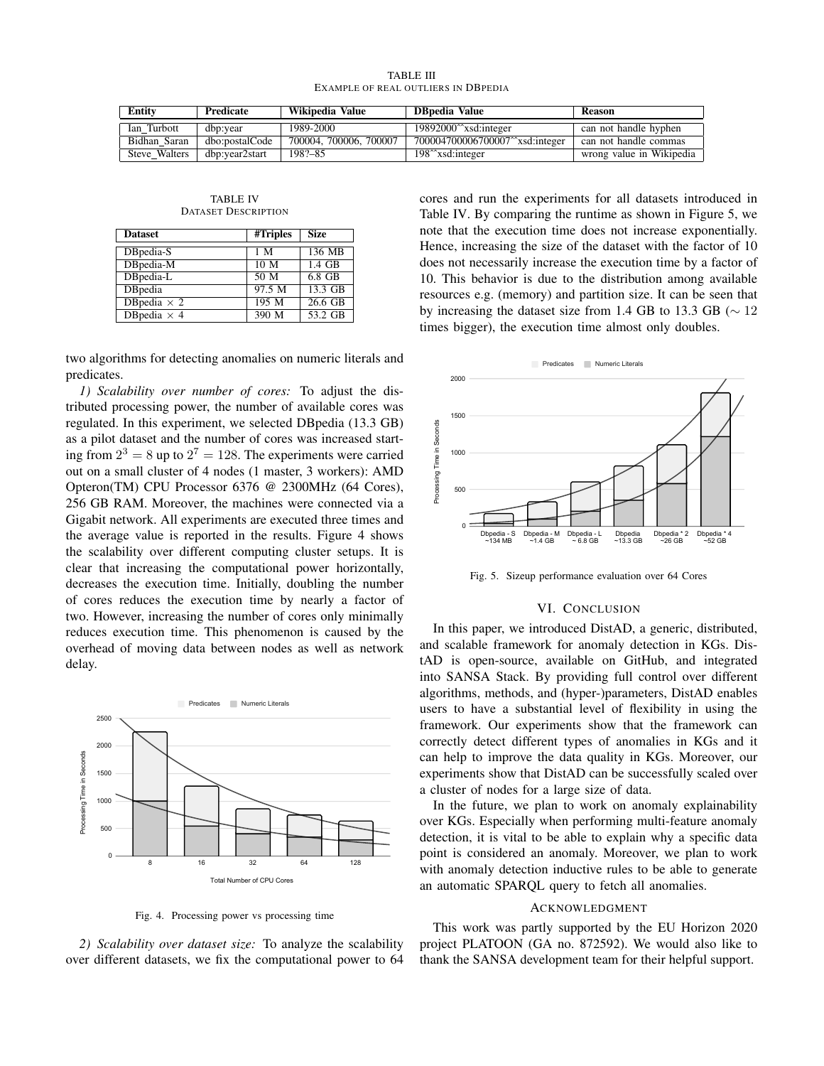| <b>TABLE III</b>                    |  |
|-------------------------------------|--|
| Example of real outliers in DBpedia |  |

| <b>Entity</b> | Predicate      | Wikipedia Value        | <b>DB</b> pedia Value                          | <b>Reason</b>            |
|---------------|----------------|------------------------|------------------------------------------------|--------------------------|
| Ian Turbott   | dbp:year       | 1989-2000              | $19892000^{\circ}$ xsd:integer                 | can not handle hyphen    |
| Bidhan Saran  | dbo:postalCode | 700004, 700006, 700007 | 700004700006700007^^xsd:integer                | can not handle commas    |
| Steve Walters | dbp:year2start | 198?-85                | 198 <sup><math>\gamma</math></sup> xsd:integer | wrong value in Wikipedia |

TABLE IV DATASET DESCRIPTION

| <b>Dataset</b>      | #Triples        | <b>Size</b>       |
|---------------------|-----------------|-------------------|
| DBpedia-S           | 1 M             | 136 MB            |
| DBpedia-M           | 10 <sub>M</sub> | $1.4$ GB          |
| DBpedia-L           | 50 <sub>M</sub> | 6.8 GB            |
| <b>DB</b> pedia     | 97.5 M          | $13.3 \text{ GB}$ |
| DB pedia $\times$ 2 | $195$ M         | $26.6$ GB         |
| DBpedia $\times$ 4  | 390 M           | $53.2$ GB         |

two algorithms for detecting anomalies on numeric literals and predicates.

*1) Scalability over number of cores:* To adjust the distributed processing power, the number of available cores was regulated. In this experiment, we selected DBpedia (13.3 GB) as a pilot dataset and the number of cores was increased starting from  $2^3 = 8$  up to  $2^7 = 128$ . The experiments were carried out on a small cluster of 4 nodes (1 master, 3 workers): AMD Opteron(TM) CPU Processor 6376 @ 2300MHz (64 Cores), 256 GB RAM. Moreover, the machines were connected via a Gigabit network. All experiments are executed three times and the average value is reported in the results. Figure 4 shows the scalability over different computing cluster setups. It is clear that increasing the computational power horizontally, decreases the execution time. Initially, doubling the number of cores reduces the execution time by nearly a factor of two. However, increasing the number of cores only minimally reduces execution time. This phenomenon is caused by the overhead of moving data between nodes as well as network delay.



Fig. 4. Processing power vs processing time

*2) Scalability over dataset size:* To analyze the scalability over different datasets, we fix the computational power to 64

cores and run the experiments for all datasets introduced in Table IV. By comparing the runtime as shown in Figure 5, we note that the execution time does not increase exponentially. Hence, increasing the size of the dataset with the factor of 10 does not necessarily increase the execution time by a factor of 10. This behavior is due to the distribution among available resources e.g. (memory) and partition size. It can be seen that by increasing the dataset size from 1.4 GB to 13.3 GB ( $\sim$  12 times bigger), the execution time almost only doubles.



Fig. 5. Sizeup performance evaluation over 64 Cores

# VI. CONCLUSION

In this paper, we introduced DistAD, a generic, distributed, and scalable framework for anomaly detection in KGs. DistAD is open-source, available on GitHub, and integrated into SANSA Stack. By providing full control over different algorithms, methods, and (hyper-)parameters, DistAD enables users to have a substantial level of flexibility in using the framework. Our experiments show that the framework can correctly detect different types of anomalies in KGs and it can help to improve the data quality in KGs. Moreover, our experiments show that DistAD can be successfully scaled over a cluster of nodes for a large size of data.

In the future, we plan to work on anomaly explainability over KGs. Especially when performing multi-feature anomaly detection, it is vital to be able to explain why a specific data point is considered an anomaly. Moreover, we plan to work with anomaly detection inductive rules to be able to generate an automatic SPARQL query to fetch all anomalies.

### ACKNOWLEDGMENT

This work was partly supported by the EU Horizon 2020 project PLATOON (GA no. 872592). We would also like to thank the SANSA development team for their helpful support.